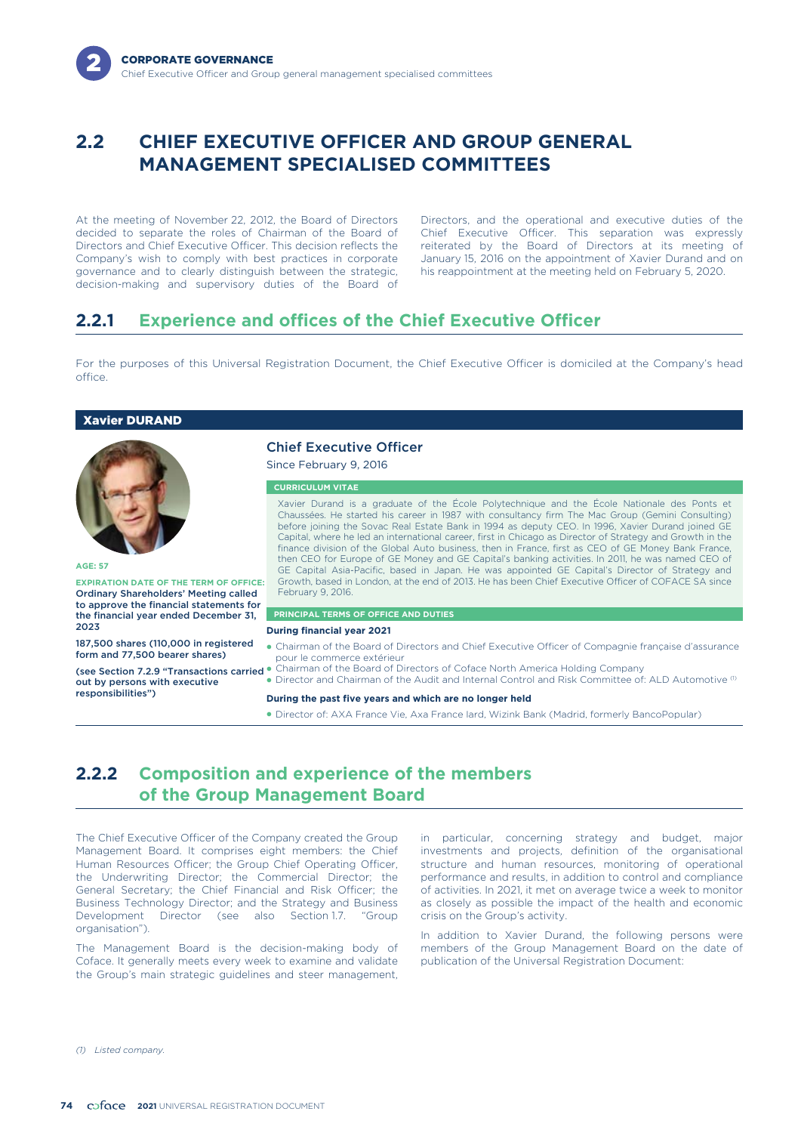# **2.2 CHIEF EXECUTIVE OFFICER AND GROUP GENERAL MANAGEMENT SPECIALISED COMMITTEES**

decided to separate the roles of Chairman of the Board of Chief Executive Officer. This separation was expressly<br>Directors and Chief Executive Officer. This decision reflects the reiterated by the Board of Directors at its governance and to clearly distinguish between the strategic, decision-making and supervisory duties of the Board of

At the meeting of November 22, 2012, the Board of Directors Directors, and the operational and executive duties of the reiterated by the Board of Directors at its meeting of Company's wish to comply with best practices in corporate January 15, 2016 on the appointment of Xavier Durand and on<br>governance and to clearly distinguish between the strategic, his reappointment at the meeting held on Fe

# **2.2.1 Experience and offices of the Chief Executive Officer**

For the purposes of this Universal Registration Document, the Chief Executive Officer is domiciled at the Company's head office.

# Xavier DURAND



#### **AGE: 57**

**EXPIRATION DATE OF THE TERM OF OFFICE:** Ordinary Shareholders' Meeting called to approve the financial statements for the financial year ended December 31, 2023

187,500 shares (110,000 in registered form and 77,500 bearer shares)

(see Section 7.2.9 "Transactions carried out by persons with executive responsibilities")

# Chief Executive Officer

Since February 9, 2016

#### **CURRICULUM VITAE**

Xavier Durand is a graduate of the École Polytechnique and the École Nationale des Ponts et Chaussées. He started his career in 1987 with consultancy firm The Mac Group (Gemini Consulting) before joining the Sovac Real Estate Bank in 1994 as deputy CEO. In 1996, Xavier Durand joined GE Capital, where he led an international career, first in Chicago as Director of Strategy and Growth in the finance division of the Global Auto business, then in France, first as CEO of GE Money Bank France, then CEO for Europe of GE Money and GE Capital's banking activities. In 2011, he was named CEO of GE Capital Asia-Pacific, based in Japan. He was appointed GE Capital's Director of Strategy and Growth, based in London, at the end of 2013. He has been Chief Executive Officer of COFACE SA since February 9, 2016.

# **PRINCIPAL TERMS OF OFFICE AND DUTIES**

# **During financial year 2021**

- Chairman of the Board of Directors and Chief Executive Officer of Compagnie française d'assurance pour le commerce extérieur
- -Chairman of the Board of Directors of Coface North America Holding Company
- Director and Chairman of the Audit and Internal Control and Risk Committee of: ALD Automotive  $(1)$

### **During the past five years and which are no longer held**

- Director of: AXA France Vie, Axa France Iard, Wizink Bank (Madrid, formerly BancoPopular)

# **2.2.2 Composition and experience of the members of the Group Management Board**

The Chief Executive Officer of the Company created the Group Management Board. It comprises eight members: the Chief Human Resources Officer; the Group Chief Operating Officer, the Underwriting Director; the Commercial Director; the General Secretary; the Chief Financial and Risk Officer; the Business Technology Director; and the Strategy and Business Development Director (see also Section 1.7. "Group organisation").

The Management Board is the decision-making body of Coface. It generally meets every week to examine and validate the Group's main strategic guidelines and steer management,

in particular, concerning strategy and budget, major investments and projects, definition of the organisational structure and human resources, monitoring of operational performance and results, in addition to control and compliance of activities. In 2021, it met on average twice a week to monitor as closely as possible the impact of the health and economic crisis on the Group's activity.

In addition to Xavier Durand, the following persons were members of the Group Management Board on the date of publication of the Universal Registration Document:

*(1) Listed company.*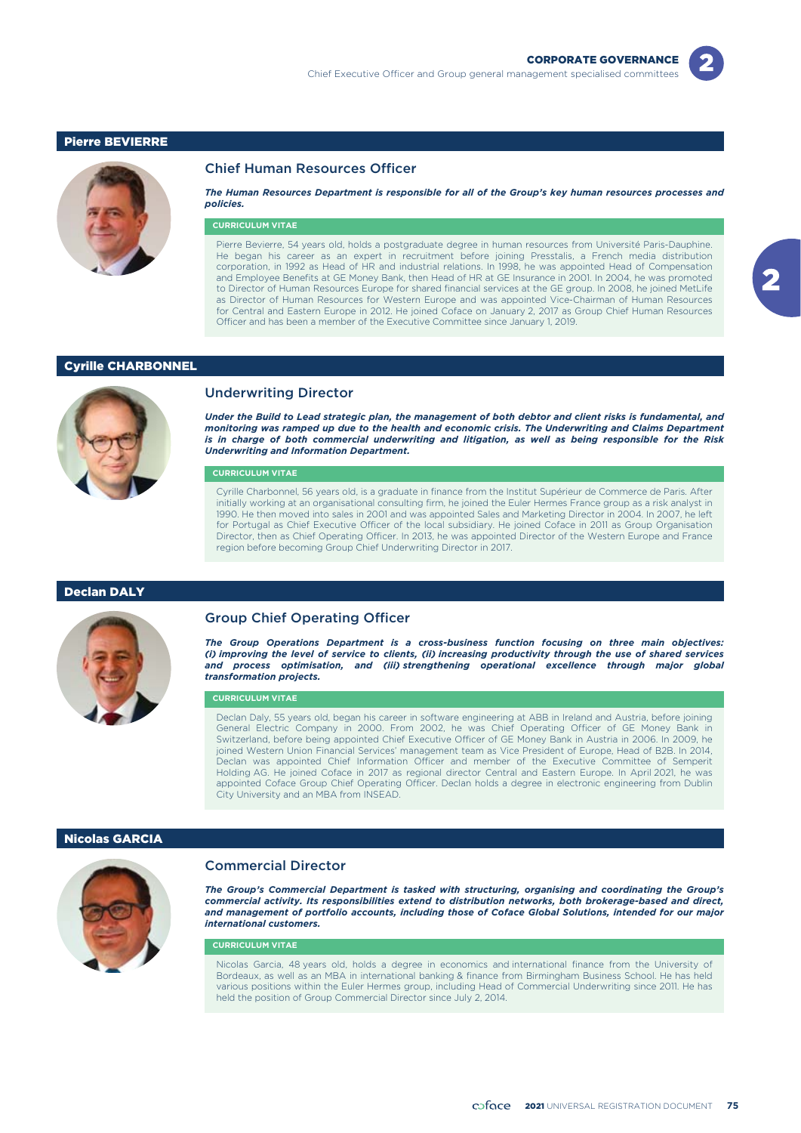



### Chief Human Resources Officer

*The Human Resources Department is responsible for all of the Group's key human resources processes and policies.*

#### **CURRICULUM VITAE**

Pierre Bevierre, 54 years old, holds a postgraduate degree in human resources from Université Paris-Dauphine. He began his career as an expert in recruitment before joining Presstalis, a French media distribution corporation, in 1992 as Head of HR and industrial relations. In 1998, he was appointed Head of Compensation and Employee Benefits at GE Money Bank, then Head of HR at GE Insurance in 2001. In 2004, he was promoted to Director of Human Resources Europe for shared financial services at the GE group. In 2008, he joined MetLife as Director of Human Resources for Western Europe and was appointed Vice-Chairman of Human Resources for Central and Eastern Europe in 2012. He joined Coface on January 2, 2017 as Group Chief Human Resources Officer and has been a member of the Executive Committee since January 1, 2019.

## Cyrille CHARBONNEL



# Underwriting Director

*Under the Build to Lead strategic plan, the management of both debtor and client risks is fundamental, and monitoring was ramped up due to the health and economic crisis. The Underwriting and Claims Department is in charge of both commercial underwriting and litigation, as well as being responsible for the Risk Underwriting and Information Department.*

## **CURRICULUM VITAE**

Cyrille Charbonnel, 56 years old, is a graduate in finance from the Institut Supérieur de Commerce de Paris. After initially working at an organisational consulting firm, he joined the Euler Hermes France group as a risk analyst in 1990. He then moved into sales in 2001 and was appointed Sales and Marketing Director in 2004. In 2007, he left for Portugal as Chief Executive Officer of the local subsidiary. He joined Coface in 2011 as Group Organisation Director, then as Chief Operating Officer. In 2013, he was appointed Director of the Western Europe and France region before becoming Group Chief Underwriting Director in 2017.

### Declan DALY



### Group Chief Operating Officer

*The Group Operations Department is a cross-business function focusing on three main objectives: (i) improving the level of service to clients, (ii) increasing productivity through the use of shared services and process optimisation, and (iii) strengthening operational excellence through major global transformation projects.*

#### **CURRICULUM VITAE**

Declan Daly, 55 years old, began his career in software engineering at ABB in Ireland and Austria, before joining General Electric Company in 2000. From 2002, he was Chief Operating Officer of GE Money Bank in Switzerland, before being appointed Chief Executive Officer of GE Money Bank in Austria in 2006. In 2009, he joined Western Union Financial Services' management team as Vice President of Europe, Head of B2B. In 2014, Declan was appointed Chief Information Officer and member of the Executive Committee of Semperit Holding AG. He joined Coface in 2017 as regional director Central and Eastern Europe. In April 2021, he was appointed Coface Group Chief Operating Officer. Declan holds a degree in electronic engineering from Dublin City University and an MBA from INSEAD.

## Nicolas GARCIA



## Commercial Director

*The Group's Commercial Department is tasked with structuring, organising and coordinating the Group's commercial activity. Its responsibilities extend to distribution networks, both brokerage-based and direct, and management of portfolio accounts, including those of Coface Global Solutions, intended for our major international customers.*

### **CURRICULUM VITAE**

Nicolas Garcia, 48 years old, holds a degree in economics and international finance from the University of Bordeaux, as well as an MBA in international banking & finance from Birmingham Business School. He has held various positions within the Euler Hermes group, including Head of Commercial Underwriting since 2011. He has held the position of Group Commercial Director since July 2, 2014.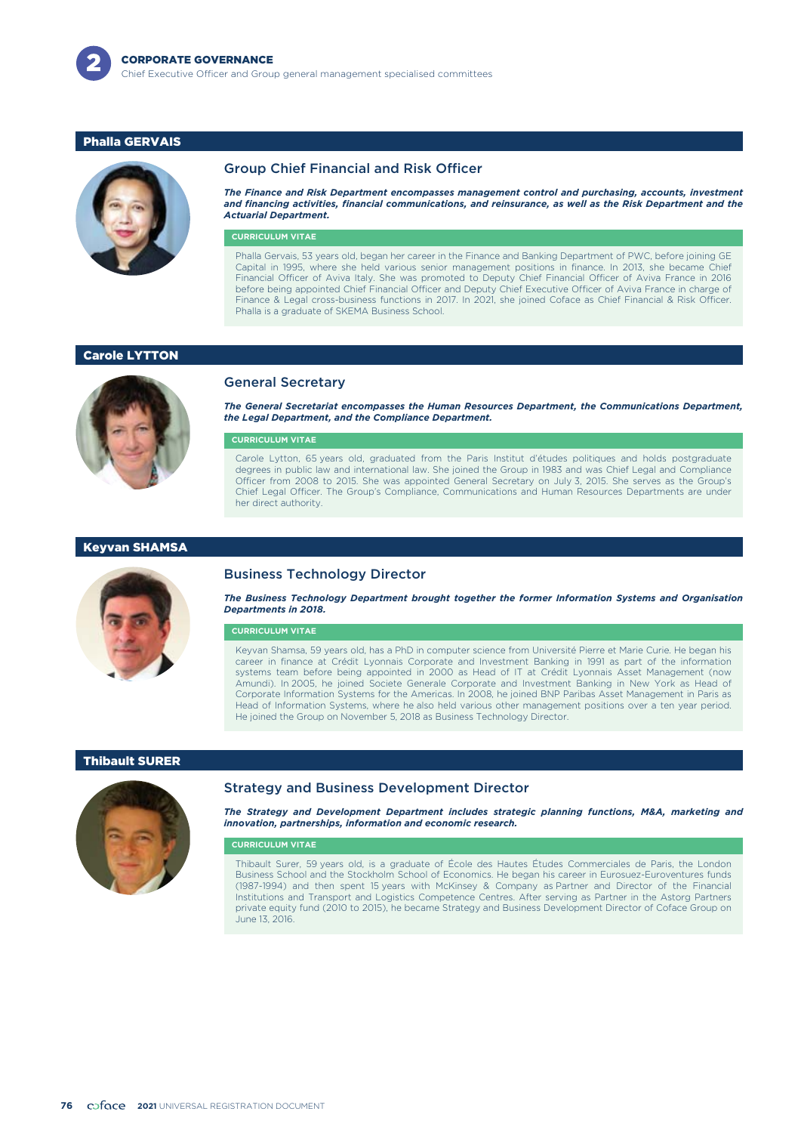

# Phalla GERVAIS



## Group Chief Financial and Risk Officer

*The Finance and Risk Department encompasses management control and purchasing, accounts, investment and financing activities, financial communications, and reinsurance, as well as the Risk Department and the Actuarial Department.*

### **CURRICULUM VITAE**

Phalla Gervais, 53 years old, began her career in the Finance and Banking Department of PWC, before joining GE Capital in 1995, where she held various senior management positions in finance. In 2013, she became Chief Financial Officer of Aviva Italy. She was promoted to Deputy Chief Financial Officer of Aviva France in 2016 before being appointed Chief Financial Officer and Deputy Chief Executive Officer of Aviva France in charge of Finance & Legal cross-business functions in 2017. In 2021, she joined Coface as Chief Financial & Risk Officer. Phalla is a graduate of SKEMA Business School.

## Carole LYTTON



General Secretary

*The General Secretariat encompasses the Human Resources Department, the Communications Department, the Legal Department, and the Compliance Department.*

#### **CURRICULUM VITAE**

Carole Lytton, 65 years old, graduated from the Paris Institut d'études politiques and holds postgraduate degrees in public law and international law. She joined the Group in 1983 and was Chief Legal and Compliance Officer from 2008 to 2015. She was appointed General Secretary on July 3, 2015. She serves as the Group's Chief Legal Officer. The Group's Compliance, Communications and Human Resources Departments are under her direct authority.

#### Keyvan SHAMSA



### Business Technology Director

*The Business Technology Department brought together the former Information Systems and Organisation Departments in 2018.*

#### **CURRICULUM VITAE**

Keyvan Shamsa, 59 years old, has a PhD in computer science from Université Pierre et Marie Curie. He began his career in finance at Crédit Lyonnais Corporate and Investment Banking in 1991 as part of the information systems team before being appointed in 2000 as Head of IT at Crédit Lyonnais Asset Management (now Amundi). In 2005, he joined Societe Generale Corporate and Investment Banking in New York as Head of Corporate Information Systems for the Americas. In 2008, he joined BNP Paribas Asset Management in Paris as Head of Information Systems, where he also held various other management positions over a ten year period. He joined the Group on November 5, 2018 as Business Technology Director.

## Thibault SURER



### Strategy and Business Development Director

*The Strategy and Development Department includes strategic planning functions, M&A, marketing and innovation, partnerships, information and economic research.*

#### **CURRICULUM VITAE**

Thibault Surer, 59 years old, is a graduate of École des Hautes Études Commerciales de Paris, the London Business School and the Stockholm School of Economics. He began his career in Eurosuez-Euroventures funds (1987-1994) and then spent 15 years with McKinsey & Company as Partner and Director of the Financial Institutions and Transport and Logistics Competence Centres. After serving as Partner in the Astorg Partners private equity fund (2010 to 2015), he became Strategy and Business Development Director of Coface Group on June 13, 2016.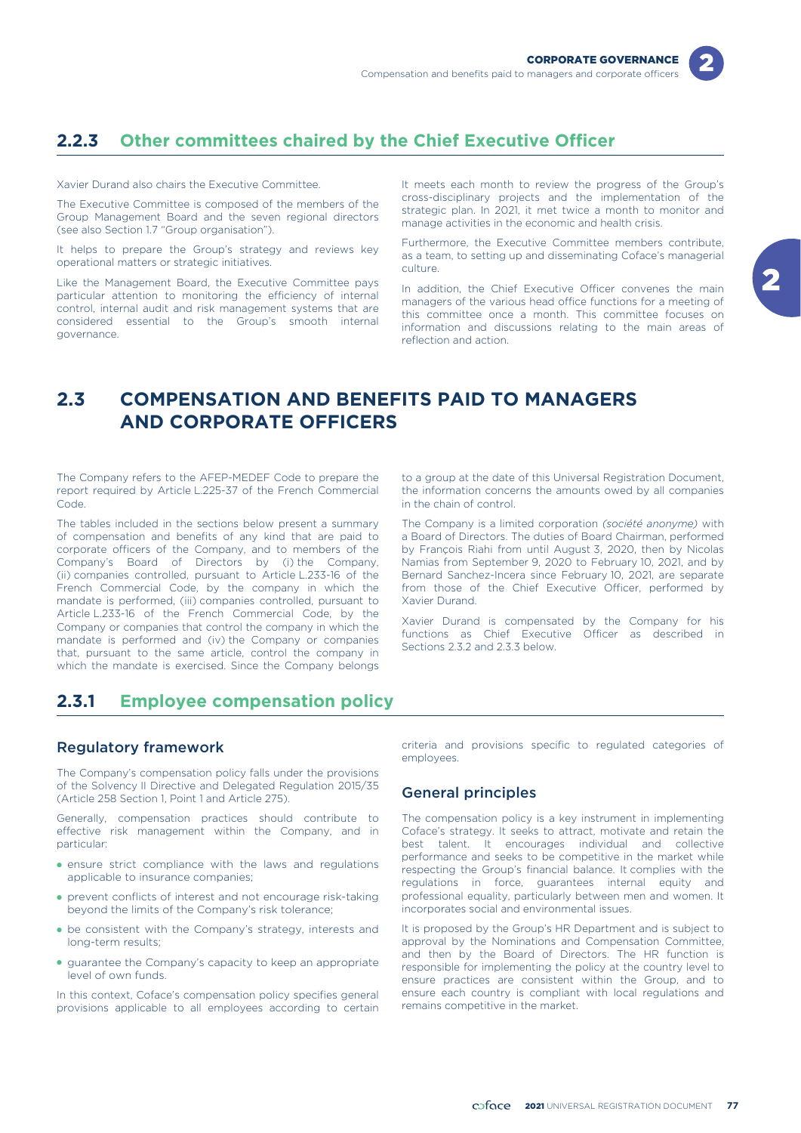

# **2.2.3 Other committees chaired by the Chief Executive Officer**

Xavier Durand also chairs the Executive Committee.

The Executive Committee is composed of the members of the Group Management Board and the seven regional directors (see also Section 1.7 "Group organisation").

It helps to prepare the Group's strategy and reviews key operational matters or strategic initiatives.

Like the Management Board, the Executive Committee pays particular attention to monitoring the efficiency of internal control, internal audit and risk management systems that are considered essential to the Group's smooth internal governance.

It meets each month to review the progress of the Group's cross-disciplinary projects and the implementation of the strategic plan. In 2021, it met twice a month to monitor and manage activities in the economic and health crisis.

Furthermore, the Executive Committee members contribute, as a team, to setting up and disseminating Coface's managerial culture.

In addition, the Chief Executive Officer convenes the main managers of the various head office functions for a meeting of this committee once a month. This committee focuses on information and discussions relating to the main areas of reflection and action.

# **2.3 COMPENSATION AND BENEFITS PAID TO MANAGERS AND CORPORATE OFFICERS**

The Company refers to the AFEP-MEDEF Code to prepare the report required by Article L.225-37 of the French Commercial Code.

The tables included in the sections below present a summary of compensation and benefits of any kind that are paid to corporate officers of the Company, and to members of the Company's Board of Directors by (i) the Company, (ii) companies controlled, pursuant to Article L.233-16 of the French Commercial Code, by the company in which the mandate is performed, (iii) companies controlled, pursuant to Article L.233-16 of the French Commercial Code, by the Company or companies that control the company in which the mandate is performed and (iv) the Company or companies that, pursuant to the same article, control the company in which the mandate is exercised. Since the Company belongs

to a group at the date of this Universal Registration Document, the information concerns the amounts owed by all companies in the chain of control.

The Company is a limited corporation *(société anonyme)* with a Board of Directors. The duties of Board Chairman, performed by François Riahi from until August 3, 2020, then by Nicolas Namias from September 9, 2020 to February 10, 2021, and by Bernard Sanchez-Incera since February 10, 2021, are separate from those of the Chief Executive Officer, performed by Xavier Durand.

Xavier Durand is compensated by the Company for his functions as Chief Executive Officer as described in Sections 2.3.2 and 2.3.3 below.

# **2.3.1 Employee compensation policy**

# Regulatory framework

The Company's compensation policy falls under the provisions of the Solvency II Directive and Delegated Regulation 2015/35 (Article 258 Section 1, Point 1 and Article 275).

Generally, compensation practices should contribute to effective risk management within the Company, and in particular:

- ensure strict compliance with the laws and regulations applicable to insurance companies;
- prevent conflicts of interest and not encourage risk-taking beyond the limits of the Company's risk tolerance;
- be consistent with the Company's strategy, interests and long-term results;
- guarantee the Company's capacity to keep an appropriate level of own funds.

In this context, Coface's compensation policy specifies general provisions applicable to all employees according to certain

criteria and provisions specific to regulated categories of employees.

# General principles

The compensation policy is a key instrument in implementing Coface's strategy. It seeks to attract, motivate and retain the best talent. It encourages individual and collective performance and seeks to be competitive in the market while respecting the Group's financial balance. It complies with the regulations in force, guarantees internal equity and professional equality, particularly between men and women. It incorporates social and environmental issues.

It is proposed by the Group's HR Department and is subject to approval by the Nominations and Compensation Committee, and then by the Board of Directors. The HR function is responsible for implementing the policy at the country level to ensure practices are consistent within the Group, and to ensure each country is compliant with local regulations and remains competitive in the market.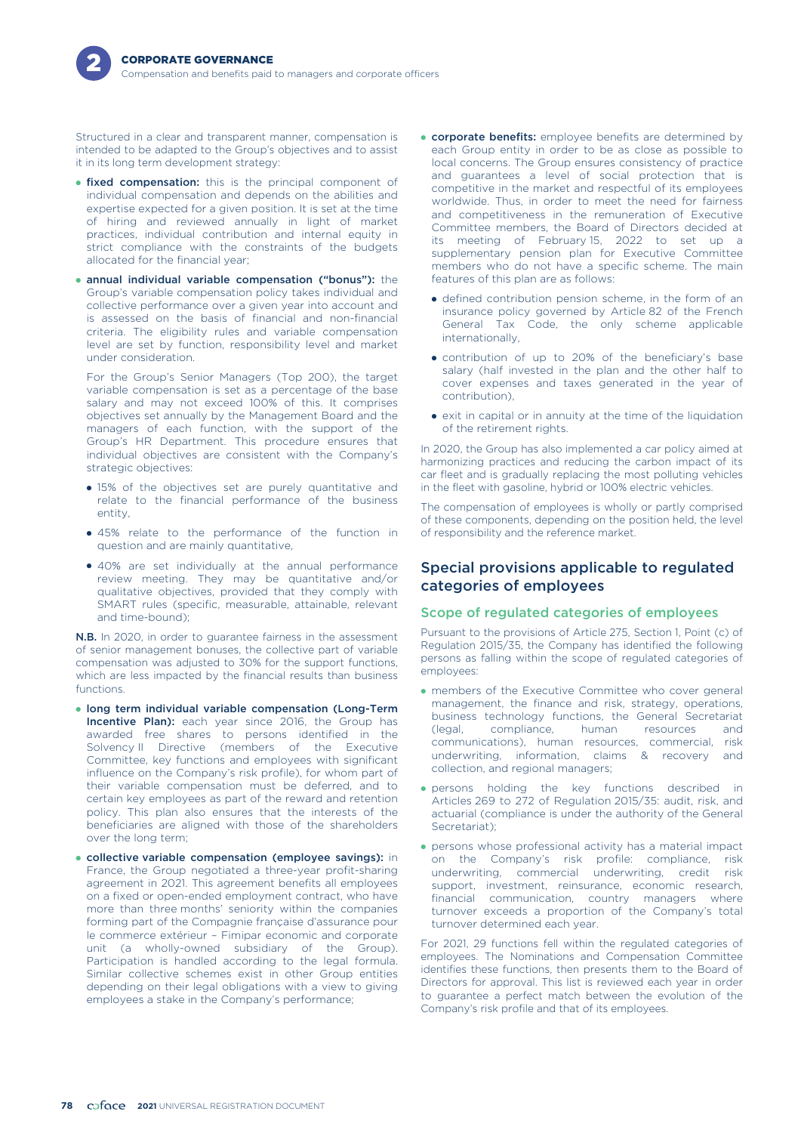

Structured in a clear and transparent manner, compensation is intended to be adapted to the Group's objectives and to assist it in its long term development strategy:

- **fixed compensation:** this is the principal component of individual compensation and depends on the abilities and expertise expected for a given position. It is set at the time of hiring and reviewed annually in light of market practices, individual contribution and internal equity in strict compliance with the constraints of the budgets allocated for the financial year;
- annual individual variable compensation ("bonus"): the Group's variable compensation policy takes individual and collective performance over a given year into account and is assessed on the basis of financial and non-financial criteria. The eligibility rules and variable compensation level are set by function, responsibility level and market under consideration.

For the Group's Senior Managers (Top 200), the target variable compensation is set as a percentage of the base salary and may not exceed 100% of this. It comprises objectives set annually by the Management Board and the managers of each function, with the support of the Group's HR Department. This procedure ensures that individual objectives are consistent with the Company's strategic objectives:

- 15% of the objectives set are purely quantitative and relate to the financial performance of the business entity,
- 45% relate to the performance of the function in question and are mainly quantitative,
- 40% are set individually at the annual performance review meeting. They may be quantitative and/or qualitative objectives, provided that they comply with SMART rules (specific, measurable, attainable, relevant and time-bound);

N.B. In 2020, in order to guarantee fairness in the assessment of senior management bonuses, the collective part of variable compensation was adjusted to 30% for the support functions, which are less impacted by the financial results than business functions.

- long term individual variable compensation (Long-Term Incentive Plan): each year since 2016, the Group has awarded free shares to persons identified in the Solvency II Directive (members of the Executive Committee, key functions and employees with significant influence on the Company's risk profile), for whom part of their variable compensation must be deferred, and to certain key employees as part of the reward and retention policy. This plan also ensures that the interests of the beneficiaries are aligned with those of the shareholders over the long term;
- collective variable compensation (employee savings): in France, the Group negotiated a three-year profit-sharing agreement in 2021. This agreement benefits all employees on a fixed or open-ended employment contract, who have more than three months' seniority within the companies forming part of the Compagnie française d'assurance pour le commerce extérieur – Fimipar economic and corporate unit (a wholly-owned subsidiary of the Group). Participation is handled according to the legal formula. Similar collective schemes exist in other Group entities depending on their legal obligations with a view to giving employees a stake in the Company's performance;
- **corporate benefits:** employee benefits are determined by each Group entity in order to be as close as possible to local concerns. The Group ensures consistency of practice and guarantees a level of social protection that is competitive in the market and respectful of its employees worldwide. Thus, in order to meet the need for fairness and competitiveness in the remuneration of Executive Committee members, the Board of Directors decided at its meeting of February 15, 2022 to set up a supplementary pension plan for Executive Committee members who do not have a specific scheme. The main features of this plan are as follows:
	- defined contribution pension scheme, in the form of an insurance policy governed by Article 82 of the French General Tax Code, the only scheme applicable internationally,
	- contribution of up to 20% of the beneficiary's base salary (half invested in the plan and the other half to cover expenses and taxes generated in the year of contribution),
- exit in capital or in annuity at the time of the liquidation of the retirement rights.

In 2020, the Group has also implemented a car policy aimed at harmonizing practices and reducing the carbon impact of its car fleet and is gradually replacing the most polluting vehicles in the fleet with gasoline, hybrid or 100% electric vehicles.

The compensation of employees is wholly or partly comprised of these components, depending on the position held, the level of responsibility and the reference market.

# Special provisions applicable to regulated categories of employees

# Scope of regulated categories of employees

Pursuant to the provisions of Article 275, Section 1, Point (c) of Regulation 2015/35, the Company has identified the following persons as falling within the scope of regulated categories of employees:

- members of the Executive Committee who cover general management, the finance and risk, strategy, operations, business technology functions, the General Secretariat<br>(legal, compliance, human resources and (legal, compliance, human resources and communications), human resources, commercial, risk underwriting, information, claims & recovery collection, and regional managers;
- persons holding the key functions described in Articles 269 to 272 of Regulation 2015/35: audit, risk, and actuarial (compliance is under the authority of the General Secretariat)<sup>;</sup>
- persons whose professional activity has a material impact on the Company's risk profile: compliance, risk underwriting, commercial underwriting, credit risk support, investment, reinsurance, economic research, financial communication, country managers where turnover exceeds a proportion of the Company's total turnover determined each year.

For 2021, 29 functions fell within the regulated categories of employees. The Nominations and Compensation Committee identifies these functions, then presents them to the Board of Directors for approval. This list is reviewed each year in order to guarantee a perfect match between the evolution of the Company's risk profile and that of its employees.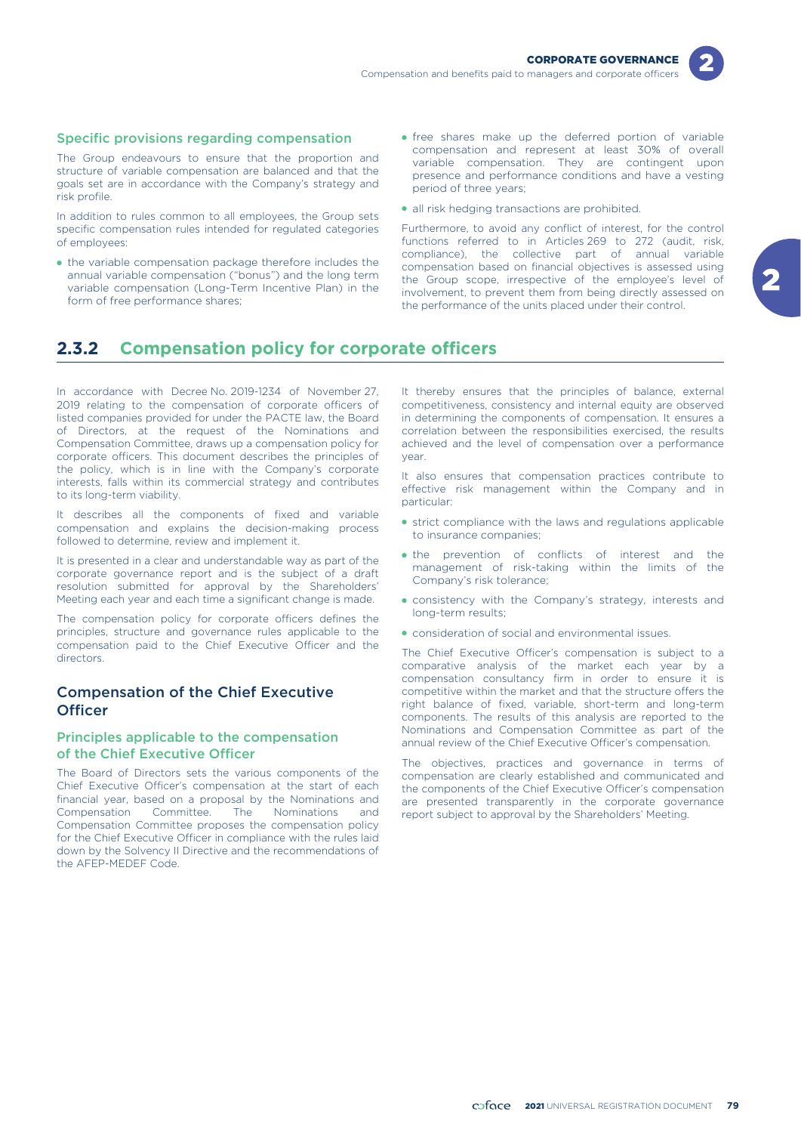

### Specific provisions regarding compensation

The Group endeavours to ensure that the proportion and structure of variable compensation are balanced and that the goals set are in accordance with the Company's strategy and risk profile.

In addition to rules common to all employees, the Group sets specific compensation rules intended for regulated categories of employees:

- the variable compensation package therefore includes the annual variable compensation ("bonus") and the long term variable compensation (Long-Term Incentive Plan) in the form of free performance shares;
- free shares make up the deferred portion of variable compensation and represent at least 30% of overall variable compensation. They are contingent upon presence and performance conditions and have a vesting period of three years;
- all risk hedging transactions are prohibited.

Furthermore, to avoid any conflict of interest, for the control functions referred to in Articles 269 to 272 (audit, risk, compliance), the collective part of annual variable compensation based on financial objectives is assessed using the Group scope, irrespective of the employee's level of involvement, to prevent them from being directly assessed on the performance of the units placed under their control.

# **2.3.2 Compensation policy for corporate officers**

In accordance with Decree No. 2019-1234 of November 27, 2019 relating to the compensation of corporate officers of listed companies provided for under the PACTE law, the Board of Directors, at the request of the Nominations and Compensation Committee, draws up a compensation policy for corporate officers. This document describes the principles of the policy, which is in line with the Company's corporate interests, falls within its commercial strategy and contributes to its long-term viability.

It describes all the components of fixed and variable compensation and explains the decision-making process followed to determine, review and implement it.

It is presented in a clear and understandable way as part of the corporate governance report and is the subject of a draft resolution submitted for approval by the Shareholders' Meeting each year and each time a significant change is made.

The compensation policy for corporate officers defines the principles, structure and governance rules applicable to the compensation paid to the Chief Executive Officer and the directors.

# Compensation of the Chief Executive **Officer**

# Principles applicable to the compensation of the Chief Executive Officer

The Board of Directors sets the various components of the Chief Executive Officer's compensation at the start of each financial year, based on a proposal by the Nominations and Compensation Committee. The Nominations and Compensation Committee proposes the compensation policy for the Chief Executive Officer in compliance with the rules laid down by the Solvency II Directive and the recommendations of the AFEP-MEDEF Code.

It thereby ensures that the principles of balance, external competitiveness, consistency and internal equity are observed in determining the components of compensation. It ensures a correlation between the responsibilities exercised, the results achieved and the level of compensation over a performance year.

It also ensures that compensation practices contribute to effective risk management within the Company and in particular:

- strict compliance with the laws and regulations applicable to insurance companies;
- the prevention of conflicts of interest and the management of risk-taking within the limits of the Company's risk tolerance;
- consistency with the Company's strategy, interests and long-term results;
- consideration of social and environmental issues.

The Chief Executive Officer's compensation is subject to a comparative analysis of the market each year by a compensation consultancy firm in order to ensure it is competitive within the market and that the structure offers the right balance of fixed, variable, short-term and long-term components. The results of this analysis are reported to the Nominations and Compensation Committee as part of the annual review of the Chief Executive Officer's compensation.

The objectives, practices and governance in terms of compensation are clearly established and communicated and the components of the Chief Executive Officer's compensation are presented transparently in the corporate governance report subject to approval by the Shareholders' Meeting.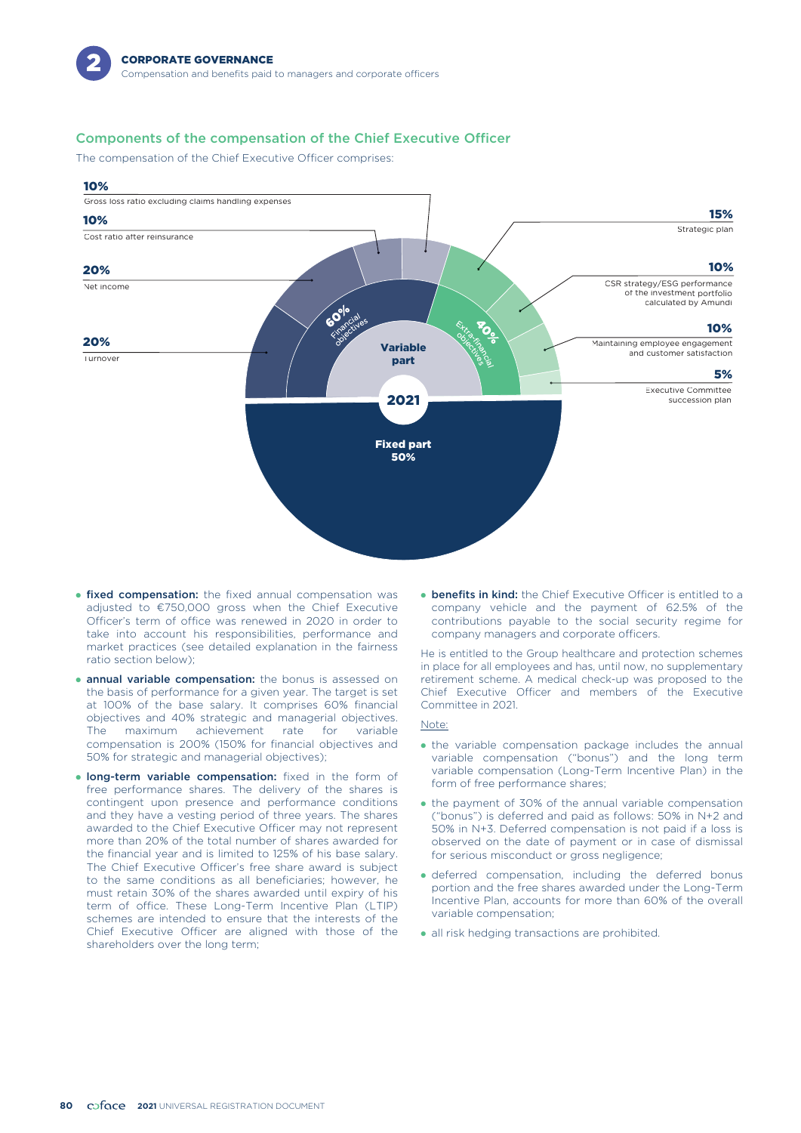# Components of the compensation of the Chief Executive Officer

The compensation of the Chief Executive Officer comprises:



- **fixed compensation:** the fixed annual compensation was adjusted to €750,000 gross when the Chief Executive Officer's term of office was renewed in 2020 in order to take into account his responsibilities, performance and market practices (see detailed explanation in the fairness ratio section below);
- **annual variable compensation:** the bonus is assessed on the basis of performance for a given year. The target is set at 100% of the base salary. It comprises 60% financial objectives and 40% strategic and managerial objectives. The maximum achievement rate for variable compensation is 200% (150% for financial objectives and 50% for strategic and managerial objectives);
- **Iong-term variable compensation:** fixed in the form of free performance shares. The delivery of the shares is contingent upon presence and performance conditions and they have a vesting period of three years. The shares awarded to the Chief Executive Officer may not represent more than 20% of the total number of shares awarded for the financial year and is limited to 125% of his base salary. The Chief Executive Officer's free share award is subject to the same conditions as all beneficiaries; however, he must retain 30% of the shares awarded until expiry of his term of office. These Long-Term Incentive Plan (LTIP) schemes are intended to ensure that the interests of the Chief Executive Officer are aligned with those of the shareholders over the long term;

**• benefits in kind:** the Chief Executive Officer is entitled to a company vehicle and the payment of 62.5% of the contributions payable to the social security regime for company managers and corporate officers.

He is entitled to the Group healthcare and protection schemes in place for all employees and has, until now, no supplementary retirement scheme. A medical check-up was proposed to the Chief Executive Officer and members of the Executive Committee in 2021.

#### Note:

- the variable compensation package includes the annual variable compensation ("bonus") and the long term variable compensation (Long-Term Incentive Plan) in the form of free performance shares;
- the payment of 30% of the annual variable compensation ("bonus") is deferred and paid as follows: 50% in N+2 and 50% in N+3. Deferred compensation is not paid if a loss is observed on the date of payment or in case of dismissal for serious misconduct or gross negligence;
- deferred compensation, including the deferred bonus portion and the free shares awarded under the Long-Term Incentive Plan, accounts for more than 60% of the overall variable compensation;
- all risk hedging transactions are prohibited.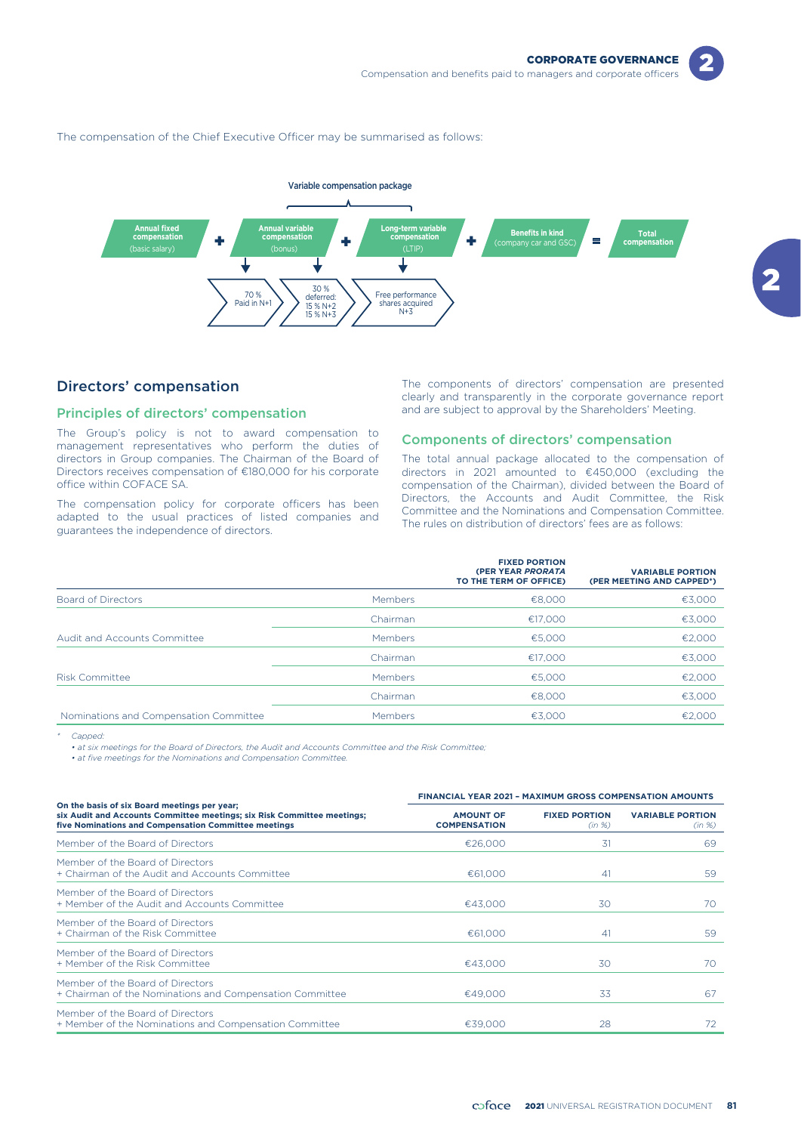

The compensation of the Chief Executive Officer may be summarised as follows:



# Directors' compensation

#### Principles of directors' compensation

The Group's policy is not to award compensation to management representatives who perform the duties of directors in Group companies. The Chairman of the Board of Directors receives compensation of €180,000 for his corporate office within COFACE SA.

The compensation policy for corporate officers has been adapted to the usual practices of listed companies and guarantees the independence of directors.

The components of directors' compensation are presented clearly and transparently in the corporate governance report and are subject to approval by the Shareholders' Meeting.

# Components of directors' compensation

The total annual package allocated to the compensation of directors in 2021 amounted to €450,000 (excluding the compensation of the Chairman), divided between the Board of Directors, the Accounts and Audit Committee, the Risk Committee and the Nominations and Compensation Committee. The rules on distribution of directors' fees are as follows:

|                                        |          | <b>FIXED PORTION</b><br>(PER YEAR PRORATA<br>TO THE TERM OF OFFICE) | <b>VARIABLE PORTION</b><br>(PER MEETING AND CAPPED*) |
|----------------------------------------|----------|---------------------------------------------------------------------|------------------------------------------------------|
| Board of Directors                     | Members  | €8,000                                                              | €3,000                                               |
|                                        | Chairman | €17.000                                                             | €3,000                                               |
| Audit and Accounts Committee           | Members  | €5,000                                                              | €2,000                                               |
|                                        | Chairman | €17.000                                                             | €3,000                                               |
| <b>Risk Committee</b>                  | Members  | €5,000                                                              | €2,000                                               |
|                                        | Chairman | €8,000                                                              | €3,000                                               |
| Nominations and Compensation Committee | Members  | €3.000                                                              | €2.000                                               |

*\* Capped:*

*• at six meetings for the Board of Directors, the Audit and Accounts Committee and the Risk Committee;*

*• at five meetings for the Nominations and Compensation Committee.*

|                                                                                                                                                                                 | <b>FINANCIAL YEAR 2021 - MAXIMUM GROSS COMPENSATION AMOUNTS</b> |                                |                                   |  |  |
|---------------------------------------------------------------------------------------------------------------------------------------------------------------------------------|-----------------------------------------------------------------|--------------------------------|-----------------------------------|--|--|
| On the basis of six Board meetings per year;<br>six Audit and Accounts Committee meetings; six Risk Committee meetings;<br>five Nominations and Compensation Committee meetings | <b>AMOUNT OF</b><br><b>COMPENSATION</b>                         | <b>FIXED PORTION</b><br>(in %) | <b>VARIABLE PORTION</b><br>(in %) |  |  |
| Member of the Board of Directors                                                                                                                                                | €26,000                                                         | 31                             | 69                                |  |  |
| Member of the Board of Directors<br>+ Chairman of the Audit and Accounts Committee                                                                                              | €61,000                                                         | 41                             | 59                                |  |  |
| Member of the Board of Directors<br>+ Member of the Audit and Accounts Committee                                                                                                | €43,000                                                         | 30                             | 70                                |  |  |
| Member of the Board of Directors<br>+ Chairman of the Risk Committee                                                                                                            | €61,000                                                         | 41                             | 59                                |  |  |
| Member of the Board of Directors<br>+ Member of the Risk Committee                                                                                                              | €43,000                                                         | 30                             | 70                                |  |  |
| Member of the Board of Directors<br>+ Chairman of the Nominations and Compensation Committee                                                                                    | €49,000                                                         | 33                             | 67                                |  |  |
| Member of the Board of Directors<br>+ Member of the Nominations and Compensation Committee                                                                                      | €39,000                                                         | 28                             | 72                                |  |  |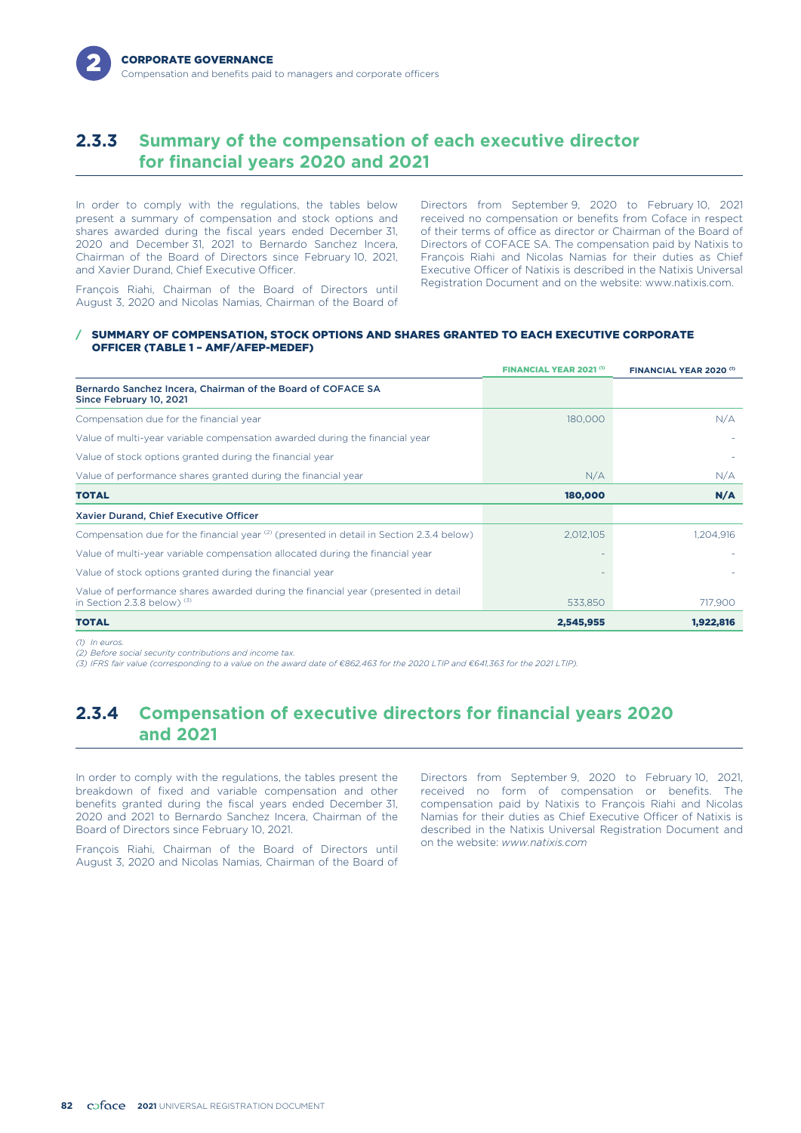# **2.3.3 Summary of the compensation of each executive director for financial years 2020 and 2021**

In order to comply with the regulations, the tables below present a summary of compensation and stock options and shares awarded during the fiscal years ended December 31, 2020 and December 31, 2021 to Bernardo Sanchez Incera, Chairman of the Board of Directors since February 10, 2021, and Xavier Durand, Chief Executive Officer.

Directors from September 9, 2020 to February 10, 2021 received no compensation or benefits from Coface in respect of their terms of office as director or Chairman of the Board of Directors of COFACE SA. The compensation paid by Natixis to François Riahi and Nicolas Namias for their duties as Chief Executive Officer of Natixis is described in the Natixis Universal

Registration Document and on the website: www.natixis.com. François Riahi, Chairman of the Board of Directors until August 3, 2020 and Nicolas Namias, Chairman of the Board of

### / SUMMARY OF COMPENSATION, STOCK OPTIONS AND SHARES GRANTED TO EACH EXECUTIVE CORPORATE OFFICER (TABLE 1 – AMF/AFEP-MEDEF)

|                                                                                                                     | FINANCIAL YEAR 2021 <sup>(1)</sup> | FINANCIAL YEAR 2020 (1) |
|---------------------------------------------------------------------------------------------------------------------|------------------------------------|-------------------------|
| Bernardo Sanchez Incera, Chairman of the Board of COFACE SA<br>Since February 10, 2021                              |                                    |                         |
| Compensation due for the financial year                                                                             | 180,000                            | N/A                     |
| Value of multi-year variable compensation awarded during the financial year                                         |                                    |                         |
| Value of stock options granted during the financial year                                                            |                                    |                         |
| Value of performance shares granted during the financial year                                                       | N/A                                | N/A                     |
| <b>TOTAL</b>                                                                                                        | 180,000                            | N/A                     |
| Xavier Durand, Chief Executive Officer                                                                              |                                    |                         |
| Compensation due for the financial year <sup>(2)</sup> (presented in detail in Section 2.3.4 below)                 | 2,012,105                          | 1,204,916               |
| Value of multi-year variable compensation allocated during the financial year                                       |                                    |                         |
| Value of stock options granted during the financial year                                                            |                                    |                         |
| Value of performance shares awarded during the financial year (presented in detail<br>in Section 2.3.8 below) $(3)$ | 533,850                            | 717,900                 |
| <b>TOTAL</b>                                                                                                        | 2,545,955                          | 1,922,816               |

*(1) In euros.*

*(2) Before social security contributions and income tax.*

*(3) IFRS fair value (corresponding to a value on the award date of €862,463 for the 2020 LTIP and €641,363 for the 2021 LTIP).*

# **2.3.4 Compensation of executive directors for financial years 2020 and 2021**

In order to comply with the regulations, the tables present the breakdown of fixed and variable compensation and other benefits granted during the fiscal years ended December 31, 2020 and 2021 to Bernardo Sanchez Incera, Chairman of the Board of Directors since February 10, 2021.

on the website: *www.natixis.com* François Riahi, Chairman of the Board of Directors until August 3, 2020 and Nicolas Namias, Chairman of the Board of

Directors from September 9, 2020 to February 10, 2021, received no form of compensation or benefits. The compensation paid by Natixis to François Riahi and Nicolas Namias for their duties as Chief Executive Officer of Natixis is described in the Natixis Universal Registration Document and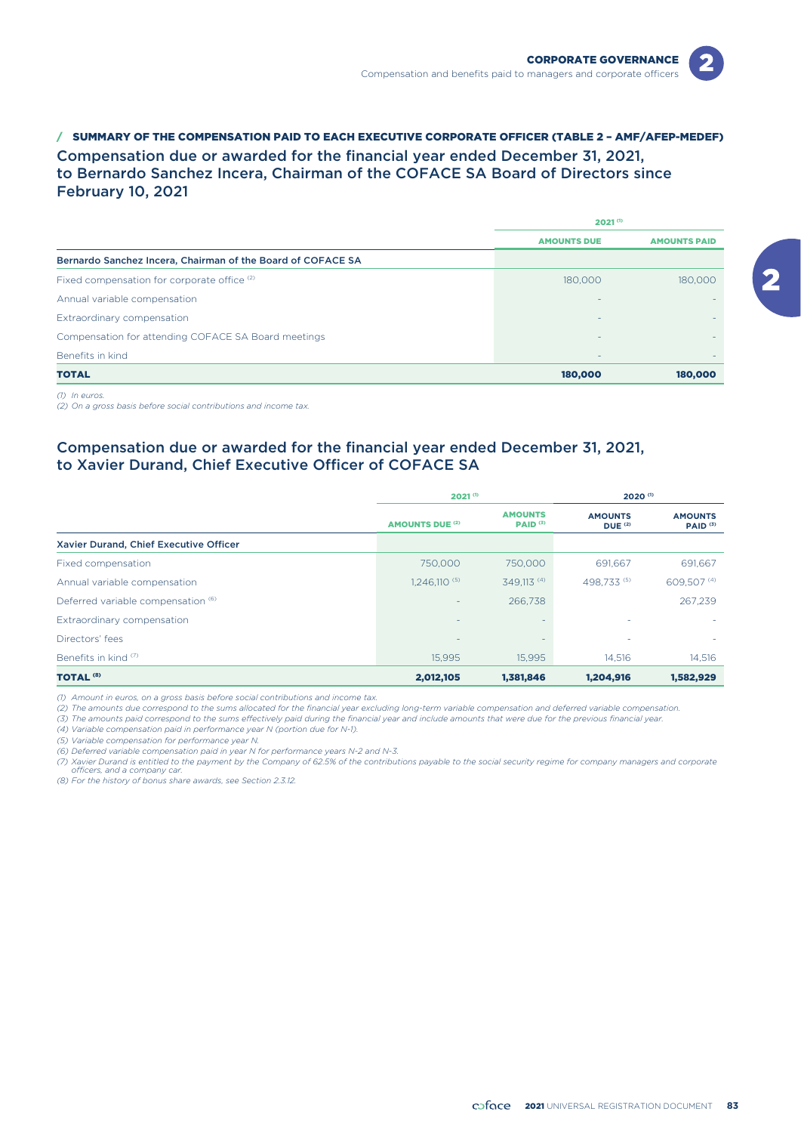

/ SUMMARY OF THE COMPENSATION PAID TO EACH EXECUTIVE CORPORATE OFFICER (TABLE 2 – AMF/AFEP-MEDEF) Compensation due or awarded for the financial year ended December 31, 2021, to Bernardo Sanchez Incera, Chairman of the COFACE SA Board of Directors since February 10, 2021

|                                                             | $2021^{(1)}$             |                     |  |
|-------------------------------------------------------------|--------------------------|---------------------|--|
|                                                             | <b>AMOUNTS DUE</b>       | <b>AMOUNTS PAID</b> |  |
| Bernardo Sanchez Incera, Chairman of the Board of COFACE SA |                          |                     |  |
| Fixed compensation for corporate office (2)                 | 180,000                  | 180,000             |  |
| Annual variable compensation                                |                          |                     |  |
| Extraordinary compensation                                  |                          |                     |  |
| Compensation for attending COFACE SA Board meetings         |                          |                     |  |
| Benefits in kind                                            | $\overline{\phantom{0}}$ |                     |  |
| <b>TOTAL</b>                                                | 180,000                  | 180,000             |  |

*(1) In euros.*

*(2) On a gross basis before social contributions and income tax.*

# Compensation due or awarded for the financial year ended December 31, 2021, to Xavier Durand, Chief Executive Officer of COFACE SA

|                                        | $2021^{(1)}$           |                                       | 2020 <sup>(1)</sup>                         |                                       |
|----------------------------------------|------------------------|---------------------------------------|---------------------------------------------|---------------------------------------|
|                                        | <b>AMOUNTS DUE (2)</b> | <b>AMOUNTS</b><br>PAID <sup>(3)</sup> | <b>AMOUNTS</b><br><b>DUE</b> <sup>(2)</sup> | <b>AMOUNTS</b><br>PAID <sup>(3)</sup> |
| Xavier Durand, Chief Executive Officer |                        |                                       |                                             |                                       |
| Fixed compensation                     | 750,000                | 750,000                               | 691.667                                     | 691,667                               |
| Annual variable compensation           | $1.246.110^{(5)}$      | 349.113 <sup>(4)</sup>                | 498.733 (5)                                 | 609,507 (4)                           |
| Deferred variable compensation (6)     | ٠                      | 266,738                               |                                             | 267,239                               |
| Extraordinary compensation             | -                      | ٠                                     |                                             |                                       |
| Directors' fees                        | ٠                      | $\overline{\phantom{a}}$              | ۰                                           |                                       |
| Benefits in kind <sup>(7)</sup>        | 15.995                 | 15.995                                | 14.516                                      | 14,516                                |
| <b>TOTAL<sup>(8)</sup></b>             | 2,012,105              | 1,381,846                             | 1,204,916                                   | 1,582,929                             |

*(1) Amount in euros, on a gross basis before social contributions and income tax.*

*(2) The amounts due correspond to the sums allocated for the financial year excluding long-term variable compensation and deferred variable compensation.*

*(3) The amounts paid correspond to the sums effectively paid during the financial year and include amounts that were due for the previous financial year.*

*(4) Variable compensation paid in performance year N (portion due for N-1).*

*(5) Variable compensation for performance year N.*

*(6) Deferred variable compensation paid in year N for performance years N-2 and N-3.*

*(7) Xavier Durand is entitled to the payment by the Company of 62.5% of the contributions payable to the social security regime for company managers and corporate officers, and a company car.*

*(8) For the history of bonus share awards, see Section 2.3.12.*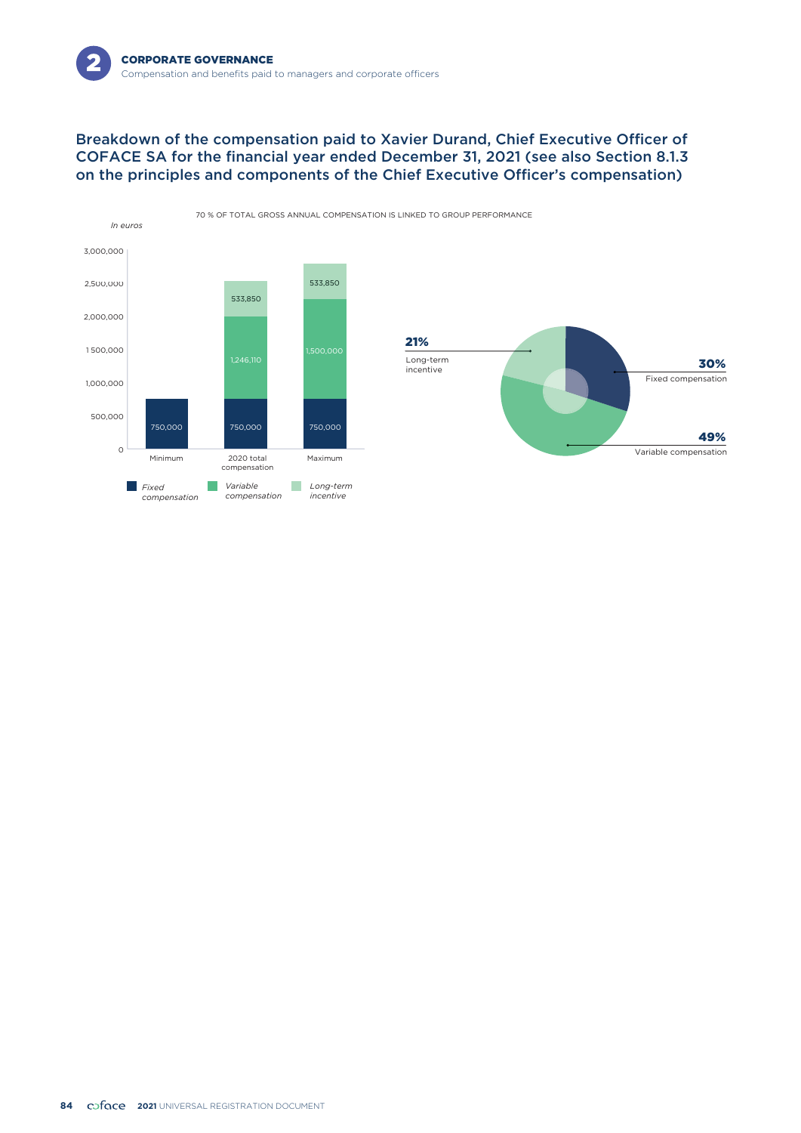

# Breakdown of the compensation paid to Xavier Durand, Chief Executive Officer of COFACE SA for the financial year ended December 31, 2021 (see also Section 8.1.3 on the principles and components of the Chief Executive Officer's compensation)

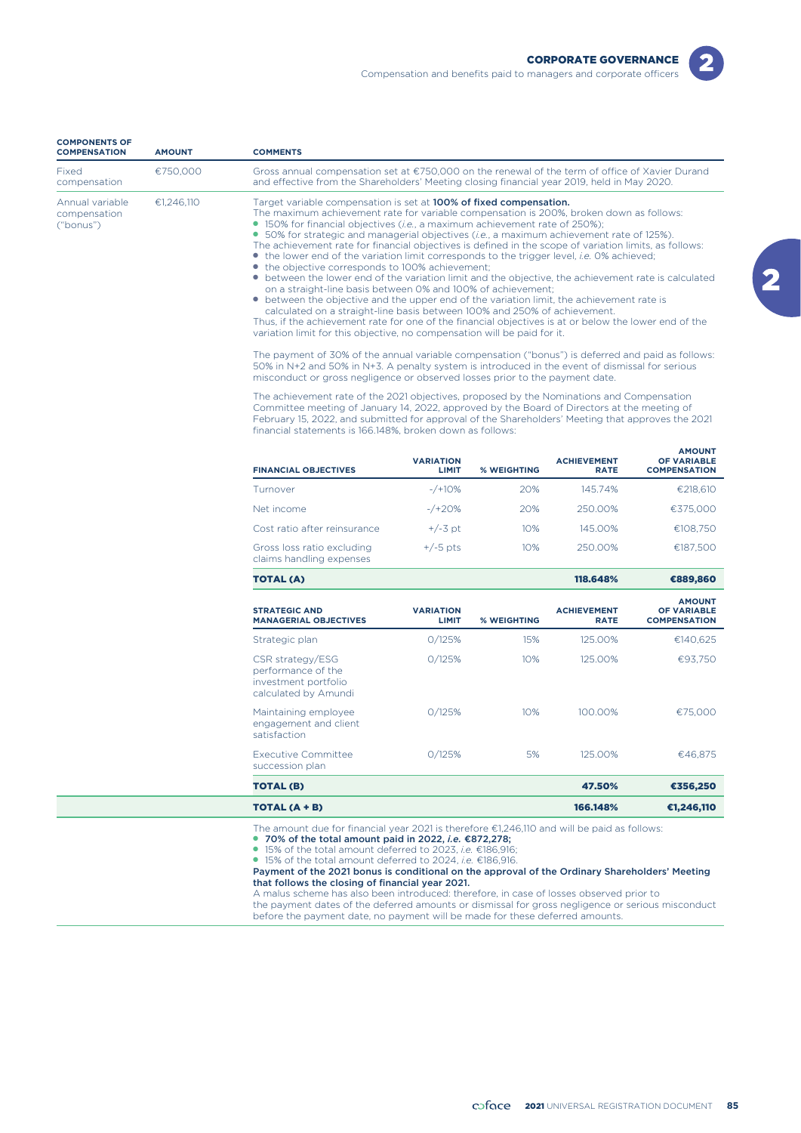| <b>COMPONENTS OF</b><br><b>COMPENSATION</b>  | <b>AMOUNT</b> | <b>COMMENTS</b>                                                                                                                                                                                                                                                                                                                                                                                                                                                                                                                                                                                                                                                                                                                                                                                                                                                                                                                                                                                                                                                                                                                                                                                                                                                                                                                                                                                                                                              |
|----------------------------------------------|---------------|--------------------------------------------------------------------------------------------------------------------------------------------------------------------------------------------------------------------------------------------------------------------------------------------------------------------------------------------------------------------------------------------------------------------------------------------------------------------------------------------------------------------------------------------------------------------------------------------------------------------------------------------------------------------------------------------------------------------------------------------------------------------------------------------------------------------------------------------------------------------------------------------------------------------------------------------------------------------------------------------------------------------------------------------------------------------------------------------------------------------------------------------------------------------------------------------------------------------------------------------------------------------------------------------------------------------------------------------------------------------------------------------------------------------------------------------------------------|
| Fixed<br>compensation                        | €750,000      | Gross annual compensation set at €750,000 on the renewal of the term of office of Xavier Durand<br>and effective from the Shareholders' Meeting closing financial year 2019, held in May 2020.                                                                                                                                                                                                                                                                                                                                                                                                                                                                                                                                                                                                                                                                                                                                                                                                                                                                                                                                                                                                                                                                                                                                                                                                                                                               |
| Annual variable<br>compensation<br>("bonus") | €1,246,110    | Target variable compensation is set at 100% of fixed compensation.<br>The maximum achievement rate for variable compensation is 200%, broken down as follows:<br>• 150% for financial objectives <i>(i.e., a maximum achievement rate of 250%)</i> ;<br>• 50% for strategic and managerial objectives ( <i>i.e.</i> , a maximum achievement rate of 125%).<br>The achievement rate for financial objectives is defined in the scope of variation limits, as follows:<br>• the lower end of the variation limit corresponds to the trigger level, <i>i.e.</i> 0% achieved;<br>• the objective corresponds to 100% achievement;<br>• between the lower end of the variation limit and the objective, the achievement rate is calculated<br>on a straight-line basis between 0% and 100% of achievement;<br>• between the objective and the upper end of the variation limit, the achievement rate is<br>calculated on a straight-line basis between 100% and 250% of achievement.<br>Thus, if the achievement rate for one of the financial objectives is at or below the lower end of the<br>variation limit for this objective, no compensation will be paid for it.<br>The payment of 30% of the annual variable compensation ("bonus") is deferred and paid as follows:<br>50% in N+2 and 50% in N+3. A penalty system is introduced in the event of dismissal for serious<br>misconduct or gross negligence or observed losses prior to the payment date. |
|                                              |               | The achievement rate of the 2021 objectives, proposed by the Nominations and Compensation<br>Committee meeting of January 14, 2022, approved by the Board of Directors at the meeting of<br>February 15, 2022, and submitted for approval of the Shareholders' Meeting that approves the 2021<br>financial statements is 166.148%, broken down as follows:                                                                                                                                                                                                                                                                                                                                                                                                                                                                                                                                                                                                                                                                                                                                                                                                                                                                                                                                                                                                                                                                                                   |

| <b>FINANCIAL OBJECTIVES</b>                            | <b>VARIATION</b><br><b>LIMIT</b> | <b>% WEIGHTING</b> | <b>ACHIEVEMENT</b><br><b>RATE</b> | <b>AMOUNT</b><br><b>OF VARIABLE</b><br><b>COMPENSATION</b> |
|--------------------------------------------------------|----------------------------------|--------------------|-----------------------------------|------------------------------------------------------------|
| Turnover                                               | $-$ /+10%                        | 20%                | 145.74%                           | €218.610                                                   |
| Net income                                             | $-$ /+20%                        | 20%                | 250.00%                           | €375,000                                                   |
| Cost ratio after reinsurance                           | $+/-3$ pt                        | 10%                | 145.00%                           | €108.750                                                   |
| Gross loss ratio excluding<br>claims handling expenses | $+/-5$ pts                       | 10%                | 250.00%                           | €187.500                                                   |

TOTAL (A) 118.648% €889,860

| <b>STRATEGIC AND</b><br><b>MANAGERIAL OBJECTIVES</b>                                   | <b>VARIATION</b><br><b>LIMIT</b> | <b>% WEIGHTING</b> | <b>ACHIEVEMENT</b><br><b>RATE</b> | <b>AMOUNT</b><br><b>OF VARIABLE</b><br><b>COMPENSATION</b> |
|----------------------------------------------------------------------------------------|----------------------------------|--------------------|-----------------------------------|------------------------------------------------------------|
| Strategic plan                                                                         | 0/125%                           | 15%                | 125.00%                           | €140,625                                                   |
| CSR strategy/ESG<br>performance of the<br>investment portfolio<br>calculated by Amundi | O/125%                           | 10%                | 125.00%                           | €93.750                                                    |
| Maintaining employee<br>engagement and client<br>satisfaction                          | O/125%                           | 10%                | 100.00%                           | €75,000                                                    |
| <b>Executive Committee</b><br>succession plan                                          | 0/125%                           | 5%                 | 125.00%                           | €46.875                                                    |
| <b>TOTAL (B)</b>                                                                       |                                  |                    | 47.50%                            | €356,250                                                   |

TOTAL (A + B) 166.148% €1,246,110 The amount due for financial year 2021 is therefore €1,246,110 and will be paid as follows:

● **70% of the total amount paid in 2022,** *i.e.* **€872,278;**<br>● 15% of the total amount deferred to 2023, *i.e.* €186,916;

● 15% of the total amount deferred to 2024, *i.e.* €186,916.

Payment of the 2021 bonus is conditional on the approval of the Ordinary Shareholders' Meeting that follows the closing of financial year 2021.

A malus scheme has also been introduced: therefore, in case of losses observed prior to the payment dates of the deferred amounts or dismissal for gross negligence or serious misconduct before the payment date, no payment will be made for these deferred amounts.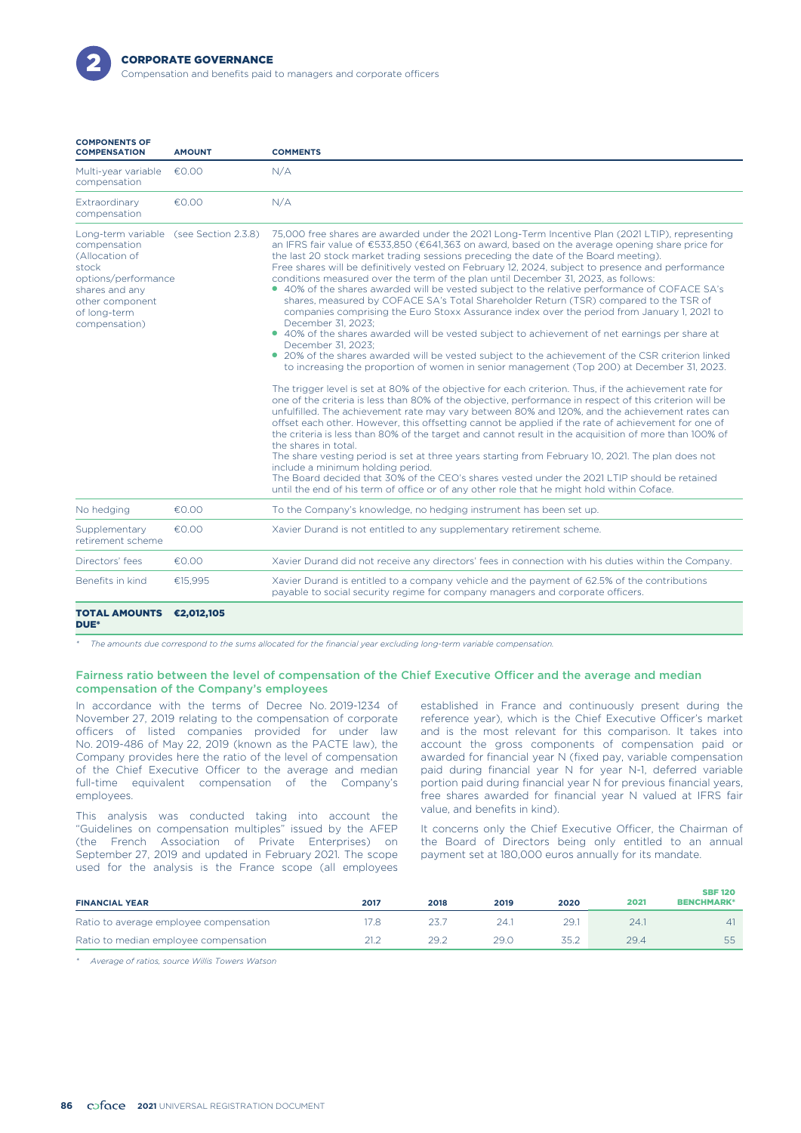

| <b>COMPONENTS OF</b><br><b>COMPENSATION</b>                                                                                                                | <b>AMOUNT</b>       | <b>COMMENTS</b>                                                                                                                                                                                                                                                                                                                                                                                                                                                                                                                                                                                                                                                                                                                                                                                                                                                                                                                                                                                                                                                                                                                                                                                                                                                                                                                                                                                                                                                                                                                                                                                                                                                                                                                                                                                                                                                                                                                                                                                                                        |
|------------------------------------------------------------------------------------------------------------------------------------------------------------|---------------------|----------------------------------------------------------------------------------------------------------------------------------------------------------------------------------------------------------------------------------------------------------------------------------------------------------------------------------------------------------------------------------------------------------------------------------------------------------------------------------------------------------------------------------------------------------------------------------------------------------------------------------------------------------------------------------------------------------------------------------------------------------------------------------------------------------------------------------------------------------------------------------------------------------------------------------------------------------------------------------------------------------------------------------------------------------------------------------------------------------------------------------------------------------------------------------------------------------------------------------------------------------------------------------------------------------------------------------------------------------------------------------------------------------------------------------------------------------------------------------------------------------------------------------------------------------------------------------------------------------------------------------------------------------------------------------------------------------------------------------------------------------------------------------------------------------------------------------------------------------------------------------------------------------------------------------------------------------------------------------------------------------------------------------------|
| Multi-year variable<br>compensation                                                                                                                        | €0.00               | N/A                                                                                                                                                                                                                                                                                                                                                                                                                                                                                                                                                                                                                                                                                                                                                                                                                                                                                                                                                                                                                                                                                                                                                                                                                                                                                                                                                                                                                                                                                                                                                                                                                                                                                                                                                                                                                                                                                                                                                                                                                                    |
| Extraordinary<br>compensation                                                                                                                              | €0.00               | N/A                                                                                                                                                                                                                                                                                                                                                                                                                                                                                                                                                                                                                                                                                                                                                                                                                                                                                                                                                                                                                                                                                                                                                                                                                                                                                                                                                                                                                                                                                                                                                                                                                                                                                                                                                                                                                                                                                                                                                                                                                                    |
| Long-term variable<br>compensation<br>(Allocation of<br>stock<br>options/performance<br>shares and any<br>other component<br>of long-term<br>compensation) | (see Section 2.3.8) | 75,000 free shares are awarded under the 2021 Long-Term Incentive Plan (2021 LTIP), representing<br>an IFRS fair value of €533,850 (€641,363 on award, based on the average opening share price for<br>the last 20 stock market trading sessions preceding the date of the Board meeting).<br>Free shares will be definitively vested on February 12, 2024, subject to presence and performance<br>conditions measured over the term of the plan until December 31, 2023, as follows:<br>• 40% of the shares awarded will be vested subject to the relative performance of COFACE SA's<br>shares, measured by COFACE SA's Total Shareholder Return (TSR) compared to the TSR of<br>companies comprising the Euro Stoxx Assurance index over the period from January 1, 2021 to<br>December 31, 2023:<br>• 40% of the shares awarded will be vested subject to achievement of net earnings per share at<br>December 31, 2023:<br>• 20% of the shares awarded will be vested subject to the achievement of the CSR criterion linked<br>to increasing the proportion of women in senior management (Top 200) at December 31, 2023.<br>The trigger level is set at 80% of the objective for each criterion. Thus, if the achievement rate for<br>one of the criteria is less than 80% of the objective, performance in respect of this criterion will be<br>unfulfilled. The achievement rate may vary between 80% and 120%, and the achievement rates can<br>offset each other. However, this offsetting cannot be applied if the rate of achievement for one of<br>the criteria is less than 80% of the target and cannot result in the acquisition of more than 100% of<br>the shares in total.<br>The share vesting period is set at three years starting from February 10, 2021. The plan does not<br>include a minimum holding period.<br>The Board decided that 30% of the CEO's shares vested under the 2021 LTIP should be retained<br>until the end of his term of office or of any other role that he might hold within Coface. |
| No hedaina                                                                                                                                                 | €0.00               | To the Company's knowledge, no hedging instrument has been set up.                                                                                                                                                                                                                                                                                                                                                                                                                                                                                                                                                                                                                                                                                                                                                                                                                                                                                                                                                                                                                                                                                                                                                                                                                                                                                                                                                                                                                                                                                                                                                                                                                                                                                                                                                                                                                                                                                                                                                                     |
| Supplementary<br>retirement scheme                                                                                                                         | €0.00               | Xavier Durand is not entitled to any supplementary retirement scheme.                                                                                                                                                                                                                                                                                                                                                                                                                                                                                                                                                                                                                                                                                                                                                                                                                                                                                                                                                                                                                                                                                                                                                                                                                                                                                                                                                                                                                                                                                                                                                                                                                                                                                                                                                                                                                                                                                                                                                                  |
| Directors' fees                                                                                                                                            | €0.00               | Xavier Durand did not receive any directors' fees in connection with his duties within the Company.                                                                                                                                                                                                                                                                                                                                                                                                                                                                                                                                                                                                                                                                                                                                                                                                                                                                                                                                                                                                                                                                                                                                                                                                                                                                                                                                                                                                                                                                                                                                                                                                                                                                                                                                                                                                                                                                                                                                    |
| Benefits in kind                                                                                                                                           | €15,995             | Xavier Durand is entitled to a company vehicle and the payment of 62.5% of the contributions<br>payable to social security regime for company managers and corporate officers.                                                                                                                                                                                                                                                                                                                                                                                                                                                                                                                                                                                                                                                                                                                                                                                                                                                                                                                                                                                                                                                                                                                                                                                                                                                                                                                                                                                                                                                                                                                                                                                                                                                                                                                                                                                                                                                         |
| <b>TOTAL AMOUNTS</b>                                                                                                                                       | €2,012,105          |                                                                                                                                                                                                                                                                                                                                                                                                                                                                                                                                                                                                                                                                                                                                                                                                                                                                                                                                                                                                                                                                                                                                                                                                                                                                                                                                                                                                                                                                                                                                                                                                                                                                                                                                                                                                                                                                                                                                                                                                                                        |

#### DUE\*

*\* The amounts due correspond to the sums allocated for the financial year excluding long-term variable compensation.*

### Fairness ratio between the level of compensation of the Chief Executive Officer and the average and median compensation of the Company's employees

In accordance with the terms of Decree No. 2019-1234 of November 27, 2019 relating to the compensation of corporate officers of listed companies provided for under law No. 2019-486 of May 22, 2019 (known as the PACTE law), the Company provides here the ratio of the level of compensation of the Chief Executive Officer to the average and median full-time equivalent compensation of the Company's employees.

value, and benefits in kind). This analysis was conducted taking into account the "Guidelines on compensation multiples" issued by the AFEP (the French Association of Private Enterprises) on September 27, 2019 and updated in February 2021. The scope used for the analysis is the France scope (all employees

established in France and continuously present during the reference year), which is the Chief Executive Officer's market and is the most relevant for this comparison. It takes into account the gross components of compensation paid or awarded for financial year N (fixed pay, variable compensation paid during financial year N for year N-1, deferred variable portion paid during financial year N for previous financial years, free shares awarded for financial year N valued at IFRS fair

It concerns only the Chief Executive Officer, the Chairman of the Board of Directors being only entitled to an annual payment set at 180,000 euros annually for its mandate.

| <b>FINANCIAL YEAR</b>                  | 2017 | 2018 | 2019 | 2020 | 2021 | <b>SBF 120</b><br><b>BENCHMARK*</b> |
|----------------------------------------|------|------|------|------|------|-------------------------------------|
| Ratio to average employee compensation | 7.8  |      | 24.  | 29.  | 24.1 | 41                                  |
| Ratio to median employee compensation  |      | 29.2 | 29.C | 35.2 | 29.4 | 55                                  |

*\* Average of ratios, source Willis Towers Watson*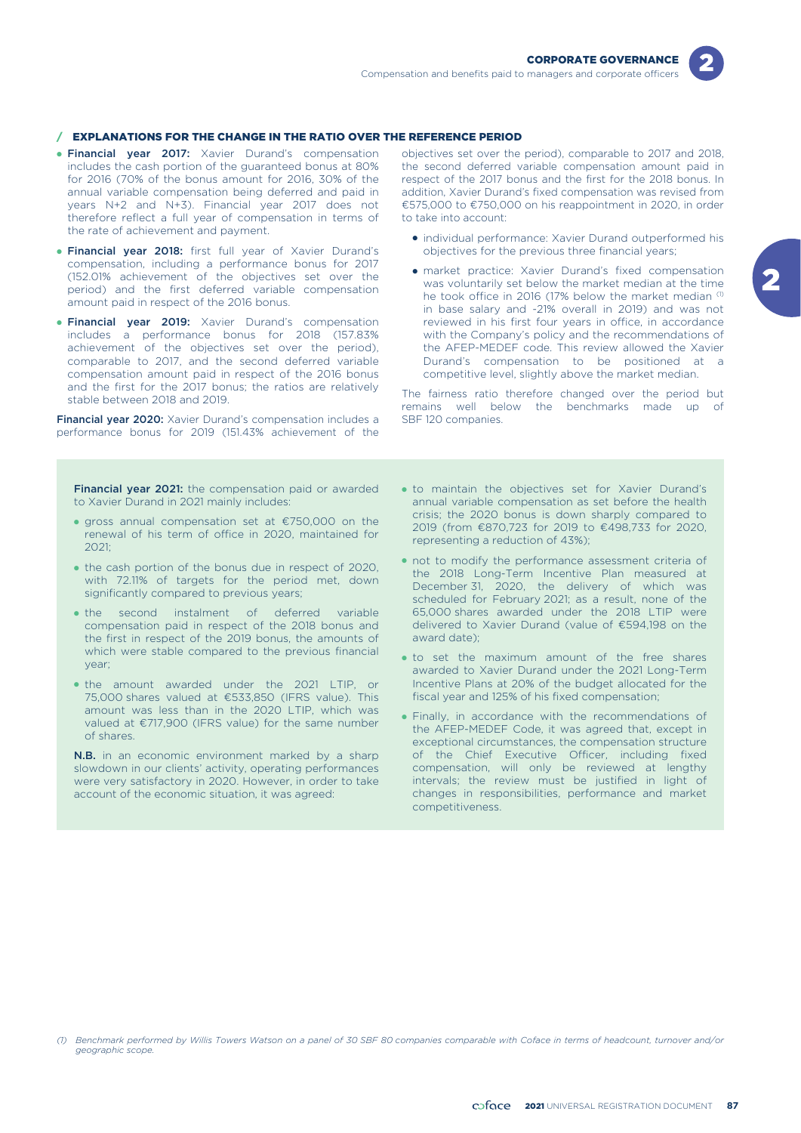

## / EXPLANATIONS FOR THE CHANGE IN THE RATIO OVER THE REFERENCE PERIOD

- **Financial year 2017:** Xavier Durand's compensation includes the cash portion of the guaranteed bonus at 80% for 2016 (70% of the bonus amount for 2016, 30% of the annual variable compensation being deferred and paid in years N+2 and N+3). Financial year 2017 does not therefore reflect a full year of compensation in terms of the rate of achievement and payment.
- **Financial year 2018:** first full year of Xavier Durand's compensation, including a performance bonus for 2017 (152.01% achievement of the objectives set over the period) and the first deferred variable compensation amount paid in respect of the 2016 bonus.
- **Financial year 2019:** Xavier Durand's compensation includes a performance bonus for 2018 (157.83% achievement of the objectives set over the period), comparable to 2017, and the second deferred variable compensation amount paid in respect of the 2016 bonus and the first for the 2017 bonus; the ratios are relatively stable between 2018 and 2019.

Financial year 2020: Xavier Durand's compensation includes a performance bonus for 2019 (151.43% achievement of the

**Financial year 2021:** the compensation paid or awarded to Xavier Durand in 2021 mainly includes:

- gross annual compensation set at €750,000 on the renewal of his term of office in 2020, maintained for 2021;
- the cash portion of the bonus due in respect of 2020, with 72.11% of targets for the period met, down significantly compared to previous years;
- the second instalment of deferred variable compensation paid in respect of the 2018 bonus and the first in respect of the 2019 bonus, the amounts of which were stable compared to the previous financial year;
- the amount awarded under the 2021 LTIP, or 75,000 shares valued at €533,850 (IFRS value). This amount was less than in the 2020 LTIP, which was valued at €717,900 (IFRS value) for the same number of shares.

N.B. in an economic environment marked by a sharp slowdown in our clients' activity, operating performances were very satisfactory in 2020. However, in order to take account of the economic situation, it was agreed:

objectives set over the period), comparable to 2017 and 2018, the second deferred variable compensation amount paid in respect of the 2017 bonus and the first for the 2018 bonus. In addition, Xavier Durand's fixed compensation was revised from €575,000 to €750,000 on his reappointment in 2020, in order to take into account:

- individual performance: Xavier Durand outperformed his objectives for the previous three financial years;
- market practice: Xavier Durand's fixed compensation was voluntarily set below the market median at the time he took office in 2016 (17% below the market median (1) in base salary and -21% overall in 2019) and was not reviewed in his first four years in office, in accordance with the Company's policy and the recommendations of the AFEP-MEDEF code. This review allowed the Xavier Durand's compensation to be positioned at a competitive level, slightly above the market median.

The fairness ratio therefore changed over the period but remains well below the benchmarks made up of SBF 120 companies.

- . to maintain the objectives set for Xavier Durand's annual variable compensation as set before the health crisis; the 2020 bonus is down sharply compared to 2019 (from €870,723 for 2019 to €498,733 for 2020, representing a reduction of 43%);
- $\bullet$  not to modify the performance assessment criteria of the 2018 Long-Term Incentive Plan measured at December 31, 2020, the delivery of which was scheduled for February 2021; as a result, none of the 65,000 shares awarded under the 2018 LTIP were delivered to Xavier Durand (value of €594,198 on the award date);
- to set the maximum amount of the free shares awarded to Xavier Durand under the 2021 Long-Term Incentive Plans at 20% of the budget allocated for the fiscal year and 125% of his fixed compensation;
- Finally, in accordance with the recommendations of the AFEP-MEDEF Code, it was agreed that, except in exceptional circumstances, the compensation structure of the Chief Executive Officer, including fixed compensation, will only be reviewed at lengthy intervals; the review must be justified in light of changes in responsibilities, performance and market competitiveness.

*<sup>(1)</sup> Benchmark performed by Willis Towers Watson on a panel of 30 SBF 80 companies comparable with Coface in terms of headcount, turnover and/or geographic scope.*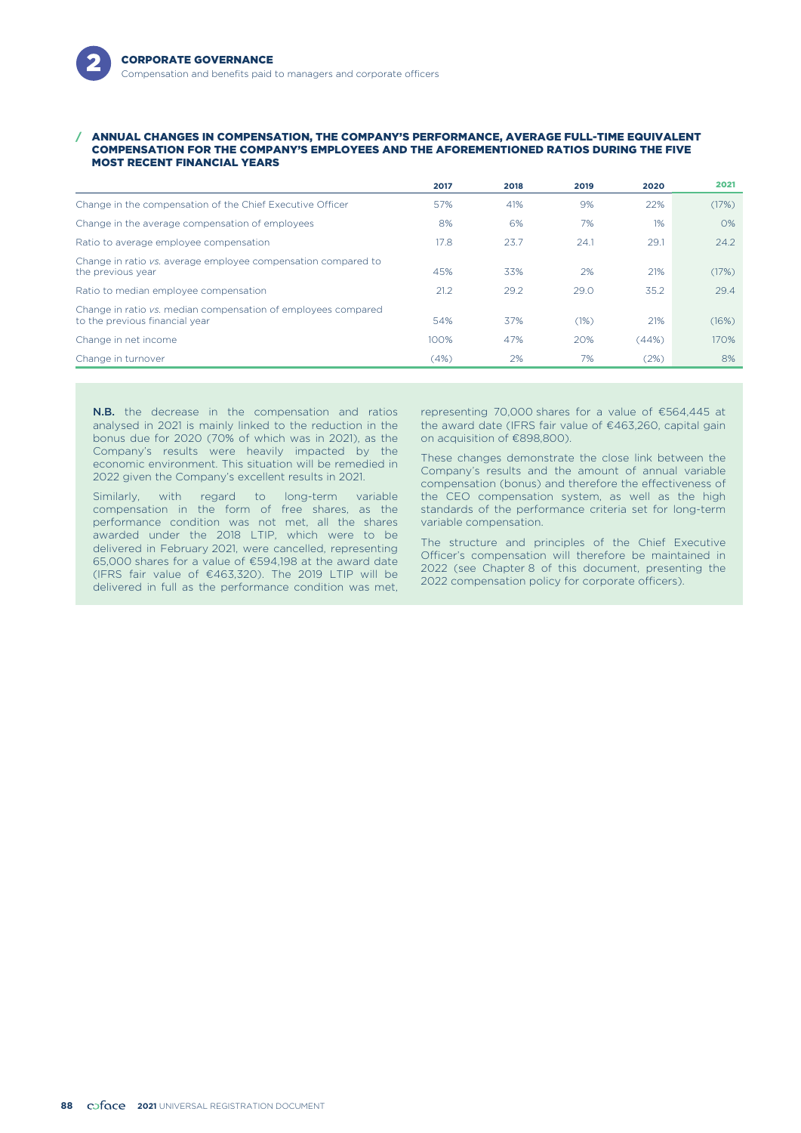#### / ANNUAL CHANGES IN COMPENSATION, THE COMPANY'S PERFORMANCE, AVERAGE FULL-TIME EQUIVALENT COMPENSATION FOR THE COMPANY'S EMPLOYEES AND THE AFOREMENTIONED RATIOS DURING THE FIVE MOST RECENT FINANCIAL YEARS

|                                                                                                 | 2017 | 2018 | 2019 | 2020  | 2021  |
|-------------------------------------------------------------------------------------------------|------|------|------|-------|-------|
| Change in the compensation of the Chief Executive Officer                                       | 57%  | 41%  | 9%   | 22%   | (17%) |
| Change in the average compensation of employees                                                 | 8%   | 6%   | 7%   | $1\%$ | $O\%$ |
| Ratio to average employee compensation                                                          | 17.8 | 23.7 | 24.1 | 29.1  | 24.2  |
| Change in ratio vs. average employee compensation compared to<br>the previous year              | 45%  | 33%  | 2%   | 21%   | (17%) |
| Ratio to median employee compensation                                                           | 21.2 | 29.2 | 29.0 | 35.2  | 29.4  |
| Change in ratio vs. median compensation of employees compared<br>to the previous financial year | 54%  | 37%  | (1%) | 21%   | (16%) |
| Change in net income                                                                            | 100% | 47%  | 20%  | (44%) | 170%  |
| Change in turnover                                                                              | (4%) | 2%   | 7%   | (2%)  | 8%    |

**N.B.** the decrease in the compensation and ratios analysed in 2021 is mainly linked to the reduction in the bonus due for 2020 (70% of which was in 2021), as the Company's results were heavily impacted by the economic environment. This situation will be remedied in 2022 given the Company's excellent results in 2021.

Similarly, with regard to long-term variable compensation in the form of free shares, as the performance condition was not met, all the shares awarded under the 2018 LTIP, which were to be delivered in February 2021, were cancelled, representing 65,000 shares for a value of €594,198 at the award date (IFRS fair value of €463,320). The 2019 LTIP will be delivered in full as the performance condition was met, representing 70,000 shares for a value of €564,445 at the award date (IFRS fair value of €463,260, capital gain on acquisition of €898,800).

These changes demonstrate the close link between the Company's results and the amount of annual variable compensation (bonus) and therefore the effectiveness of the CEO compensation system, as well as the high standards of the performance criteria set for long-term variable compensation.

The structure and principles of the Chief Executive Officer's compensation will therefore be maintained in 2022 (see Chapter 8 of this document, presenting the 2022 compensation policy for corporate officers).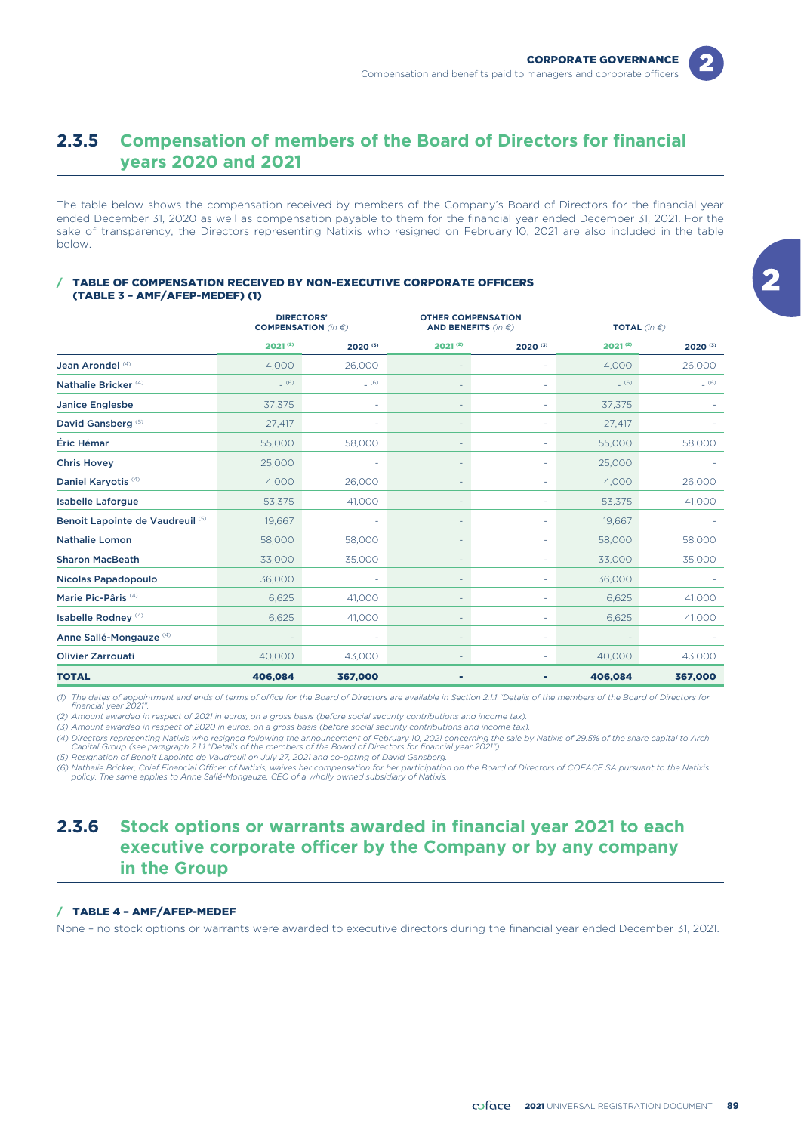

# **2.3.5 Compensation of members of the Board of Directors for financial years 2020 and 2021**

The table below shows the compensation received by members of the Company's Board of Directors for the financial year ended December 31, 2020 as well as compensation payable to them for the financial year ended December 31, 2021. For the sake of transparency, the Directors representing Natixis who resigned on February 10, 2021 are also included in the table below.

# TABLE OF COMPENSATION RECEIVED BY NON-EXECUTIVE CORPORATE OFFICERS

(TABLE 3 – AMF/AFEP-MEDEF) (1)

|                                    |                          | <b>DIRECTORS'</b><br><b>OTHER COMPENSATION</b><br><b>COMPENSATION</b> (in $\epsilon$ )<br>AND BENEFITS (in $\epsilon$ ) |              |                          |              | <b>TOTAL</b> (in $\epsilon$ ) |
|------------------------------------|--------------------------|-------------------------------------------------------------------------------------------------------------------------|--------------|--------------------------|--------------|-------------------------------|
|                                    | $2021^{(2)}$             | 2020(3)                                                                                                                 | $2021^{(2)}$ | 2020(3)                  | $2021^{(2)}$ | 2020(3)                       |
| Jean Arondel (4)                   | 4,000                    | 26,000                                                                                                                  |              |                          | 4,000        | 26,000                        |
| Nathalie Bricker <sup>(4)</sup>    | (6)                      | (6)                                                                                                                     |              |                          | (6)          | (6)                           |
| <b>Janice Englesbe</b>             | 37,375                   |                                                                                                                         |              |                          | 37,375       |                               |
| David Gansberg <sup>(5)</sup>      | 27,417                   |                                                                                                                         |              |                          | 27,417       |                               |
| Éric Hémar                         | 55,000                   | 58,000                                                                                                                  | ÷.           | $\overline{\phantom{a}}$ | 55,000       | 58,000                        |
| <b>Chris Hovey</b>                 | 25,000                   |                                                                                                                         | ۰            |                          | 25,000       |                               |
| Daniel Karyotis <sup>(4)</sup>     | 4,000                    | 26,000                                                                                                                  | ۰            |                          | 4,000        | 26,000                        |
| <b>Isabelle Laforgue</b>           | 53,375                   | 41,000                                                                                                                  | ۰            |                          | 53,375       | 41,000                        |
| Benoit Lapointe de Vaudreuil (5)   | 19,667                   |                                                                                                                         | ۰            |                          | 19,667       |                               |
| <b>Nathalie Lomon</b>              | 58,000                   | 58,000                                                                                                                  |              |                          | 58,000       | 58,000                        |
| <b>Sharon MacBeath</b>             | 33,000                   | 35,000                                                                                                                  |              |                          | 33,000       | 35,000                        |
| Nicolas Papadopoulo                | 36,000                   |                                                                                                                         |              |                          | 36,000       |                               |
| Marie Pic-Pâris <sup>(4)</sup>     | 6,625                    | 41,000                                                                                                                  |              |                          | 6,625        | 41,000                        |
| Isabelle Rodney <sup>(4)</sup>     | 6,625                    | 41,000                                                                                                                  |              |                          | 6,625        | 41,000                        |
| Anne Sallé-Mongauze <sup>(4)</sup> | $\overline{\phantom{a}}$ |                                                                                                                         |              |                          |              |                               |
| <b>Olivier Zarrouati</b>           | 40,000                   | 43,000                                                                                                                  |              |                          | 40,000       | 43,000                        |
| <b>TOTAL</b>                       | 406,084                  | 367,000                                                                                                                 |              |                          | 406,084      | 367,000                       |

*(1) The dates of appointment and ends of terms of office for the Board of Directors are available in Section 2.1.1 "Details of the members of the Board of Directors for financial year 2021".*

*(2) Amount awarded in respect of 2021 in euros, on a gross basis (before social security contributions and income tax).*

*(3) Amount awarded in respect of 2020 in euros, on a gross basis (before social security contributions and income tax). (4) Directors representing Natixis who resigned following the announcement of February 10, 2021 concerning the sale by Natixis of 29.5% of the share capital to Arch*

*Capital Group (see paragraph 2.1.1 "Details of the members of the Board of Directors for financial year 2021").*

*(5) Resignation of Benoît Lapointe de Vaudreuil on July 27, 2021 and co-opting of David Gansberg.*

(6) Nathalie Bricker, Chief Financial Officer of Natixis, waives her compensation for her participation on the Board of Directors of COFACE SA pursuant to the Natixis<br>policy. The same applies to Anne Sallé-Mongauze, CEO of

# **2.3.6 Stock options or warrants awarded in financial year 2021 to each executive corporate officer by the Company or by any company in the Group**

# / TABLE 4 – AMF/AFEP-MEDEF

None – no stock options or warrants were awarded to executive directors during the financial year ended December 31, 2021.